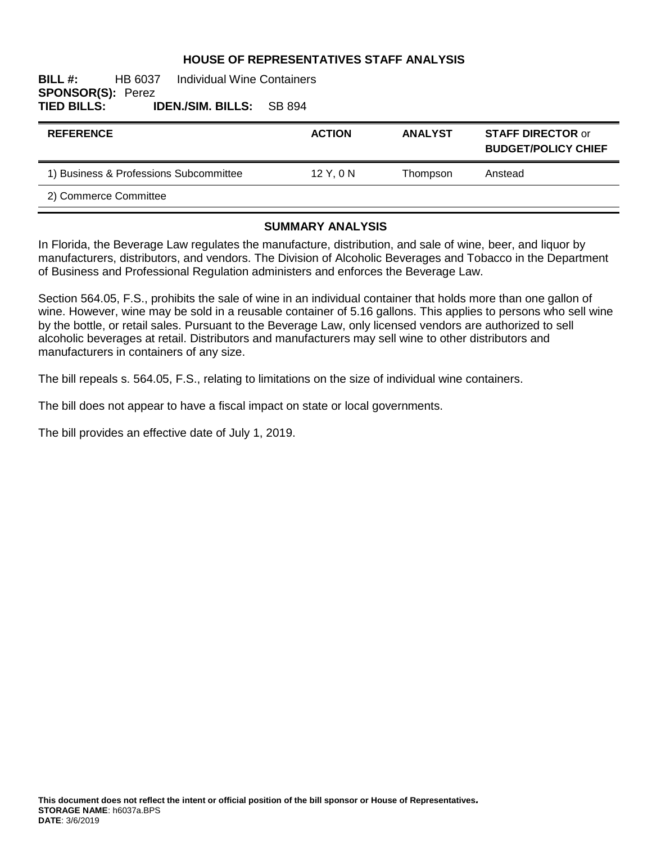### **HOUSE OF REPRESENTATIVES STAFF ANALYSIS**

### **BILL #:** HB 6037 Individual Wine Containers **SPONSOR(S): Perez<br>TIED BILLS: I TIED BILLS: IDEN./SIM. BILLS:** SB 894

| <b>REFERENCE</b>                       | <b>ACTION</b> | <b>ANALYST</b> | <b>STAFF DIRECTOR or</b><br><b>BUDGET/POLICY CHIEF</b> |
|----------------------------------------|---------------|----------------|--------------------------------------------------------|
| 1) Business & Professions Subcommittee | $12$ Y, 0 N   | Thompson       | Anstead                                                |
| 2) Commerce Committee                  |               |                |                                                        |

#### **SUMMARY ANALYSIS**

In Florida, the Beverage Law regulates the manufacture, distribution, and sale of wine, beer, and liquor by manufacturers, distributors, and vendors. The Division of Alcoholic Beverages and Tobacco in the Department of Business and Professional Regulation administers and enforces the Beverage Law.

Section 564.05, F.S., prohibits the sale of wine in an individual container that holds more than one gallon of wine. However, wine may be sold in a reusable container of 5.16 gallons. This applies to persons who sell wine by the bottle, or retail sales. Pursuant to the Beverage Law, only licensed vendors are authorized to sell alcoholic beverages at retail. Distributors and manufacturers may sell wine to other distributors and manufacturers in containers of any size.

The bill repeals s. 564.05, F.S., relating to limitations on the size of individual wine containers.

The bill does not appear to have a fiscal impact on state or local governments.

The bill provides an effective date of July 1, 2019.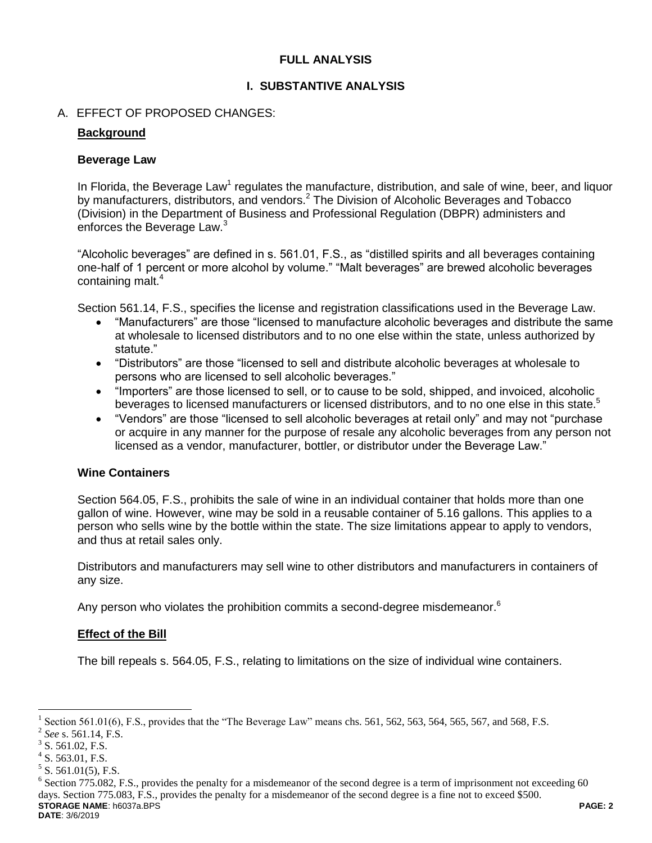## **FULL ANALYSIS**

## **I. SUBSTANTIVE ANALYSIS**

## A. EFFECT OF PROPOSED CHANGES:

### **Background**

### **Beverage Law**

In Florida, the Beverage Law<sup>1</sup> regulates the manufacture, distribution, and sale of wine, beer, and liquor by manufacturers, distributors, and vendors.<sup>2</sup> The Division of Alcoholic Beverages and Tobacco (Division) in the Department of Business and Professional Regulation (DBPR) administers and enforces the Beverage Law.<sup>3</sup>

"Alcoholic beverages" are defined in s. 561.01, F.S., as "distilled spirits and all beverages containing one-half of 1 percent or more alcohol by volume." "Malt beverages" are brewed alcoholic beverages containing malt.<sup>4</sup>

Section 561.14, F.S., specifies the license and registration classifications used in the Beverage Law.

- "Manufacturers" are those "licensed to manufacture alcoholic beverages and distribute the same at wholesale to licensed distributors and to no one else within the state, unless authorized by statute."
- "Distributors" are those "licensed to sell and distribute alcoholic beverages at wholesale to persons who are licensed to sell alcoholic beverages."
- "Importers" are those licensed to sell, or to cause to be sold, shipped, and invoiced, alcoholic beverages to licensed manufacturers or licensed distributors, and to no one else in this state.<sup>5</sup>
- "Vendors" are those "licensed to sell alcoholic beverages at retail only" and may not "purchase or acquire in any manner for the purpose of resale any alcoholic beverages from any person not licensed as a vendor, manufacturer, bottler, or distributor under the Beverage Law."

### **Wine Containers**

Section 564.05, F.S., prohibits the sale of wine in an individual container that holds more than one gallon of wine. However, wine may be sold in a reusable container of 5.16 gallons. This applies to a person who sells wine by the bottle within the state. The size limitations appear to apply to vendors, and thus at retail sales only.

Distributors and manufacturers may sell wine to other distributors and manufacturers in containers of any size.

Any person who violates the prohibition commits a second-degree misdemeanor.<sup>6</sup>

### **Effect of the Bill**

The bill repeals s. 564.05, F.S., relating to limitations on the size of individual wine containers.

 $\overline{a}$ 

<sup>1</sup> Section 561.01(6), F.S., provides that the "The Beverage Law" means chs. 561, 562, 563, 564, 565, 567, and 568, F.S.

<sup>2</sup> *See* s. 561.14, F.S.

 $3$  S. 561.02, F.S.

 $4$  S. 563.01, F.S.

 $5$  S. 561.01(5), F.S.

**STORAGE NAME**: h6037a.BPS **PAGE: 2 DATE**: 3/6/2019 <sup>6</sup> Section 775.082, F.S., provides the penalty for a misdemeanor of the second degree is a term of imprisonment not exceeding 60 days. Section 775.083, F.S., provides the penalty for a misdemeanor of the second degree is a fine not to exceed \$500.